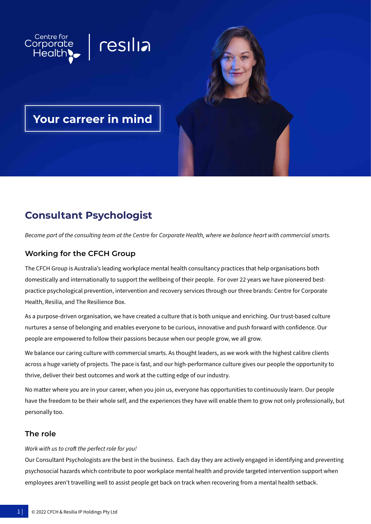

# **Consultant Psychologist**

*Become part of the consulting team at the Centre for Corporate Health, where we balance heart with commercial smarts.*

## **Working for the CFCH Group**

The CFCH Group is Australia's leading workplace mental health consultancy practices that help organisations both domestically and internationally to support the wellbeing of their people. For over 22 years we have pioneered bestpractice psychological prevention, intervention and recovery services through our three brands: Centre for Corporate Health, Resilia, and The Resilience Box.

As a purpose-driven organisation, we have created a culture that is both unique and enriching. Our trust-based culture nurtures a sense of belonging and enables everyone to be curious, innovative and push forward with confidence. Our people are empowered to follow their passions because when our people grow, we all grow.

We balance our caring culture with commercial smarts. As thought leaders, as we work with the highest calibre clients across a huge variety of projects. The pace is fast, and our high-performance culture gives our people the opportunity to thrive, deliver their best outcomes and work at the cutting edge of our industry.

No matter where you are in your career, when you join us, everyone has opportunities to continuously learn. Our people have the freedom to be their whole self, and the experiences they have will enable them to grow not only professionally, but personally too.

#### **The role**

#### *Work with us to craft the perfect role for you!*

Our Consultant Psychologists are the best in the business. Each day they are actively engaged in identifying and preventing psychosocial hazards which contribute to poor workplace mental health and provide targeted intervention support when employees aren't travelling well to assist people get back on track when recovering from a mental health setback.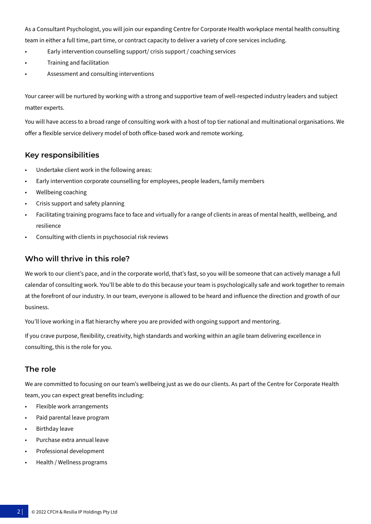As a Consultant Psychologist, you will join our expanding Centre for Corporate Health workplace mental health consulting team in either a full time, part time, or contract capacity to deliver a variety of core services including.

- Early intervention counselling support/ crisis support / coaching services
- Training and facilitation
- Assessment and consulting interventions

Your career will be nurtured by working with a strong and supportive team of well-respected industry leaders and subject matter experts.

You will have access to a broad range of consulting work with a host of top tier national and multinational organisations. We offer a flexible service delivery model of both office-based work and remote working.

#### **Key responsibilities**

- Undertake client work in the following areas:
- Early intervention corporate counselling for employees, people leaders, family members
- Wellbeing coaching
- Crisis support and safety planning
- Facilitating training programs face to face and virtually for a range of clients in areas of mental health, wellbeing, and resilience
- Consulting with clients in psychosocial risk reviews

### **Who will thrive in this role?**

We work to our client's pace, and in the corporate world, that's fast, so you will be someone that can actively manage a full calendar of consulting work. You'll be able to do this because your team is psychologically safe and work together to remain at the forefront of our industry. In our team, everyone is allowed to be heard and influence the direction and growth of our business.

You'll love working in a flat hierarchy where you are provided with ongoing support and mentoring.

If you crave purpose, flexibility, creativity, high standards and working within an agile team delivering excellence in consulting, this is the role for you.

#### **The role**

We are committed to focusing on our team's wellbeing just as we do our clients. As part of the Centre for Corporate Health team, you can expect great benefits including:

- Flexible work arrangements
- Paid parental leave program
- Birthday leave
- Purchase extra annual leave
- Professional development
- Health / Wellness programs